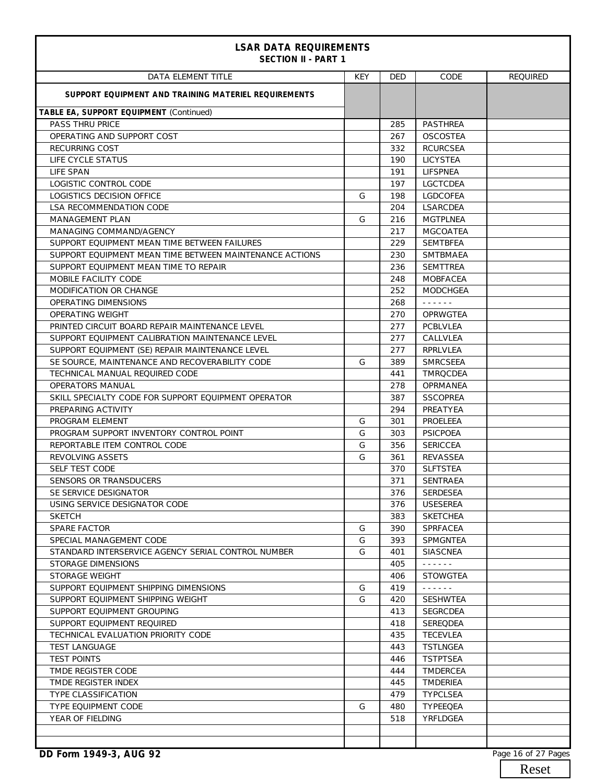| <b>LSAR DATA REQUIREMENTS</b><br><b>SECTION II - PART 1</b> |            |            |                                      |                 |
|-------------------------------------------------------------|------------|------------|--------------------------------------|-----------------|
| <b>DATA ELEMENT TITLE</b>                                   | <b>KEY</b> | <b>DED</b> | CODE                                 | <b>REQUIRED</b> |
| SUPPORT EQUIPMENT AND TRAINING MATERIEL REQUIREMENTS        |            |            |                                      |                 |
| TABLE EA, SUPPORT EQUIPMENT (Continued)                     |            |            |                                      |                 |
| <b>PASS THRU PRICE</b>                                      |            | 285        | PASTHREA                             |                 |
| OPERATING AND SUPPORT COST                                  |            | 267        | <b>OSCOSTEA</b>                      |                 |
| <b>RECURRING COST</b>                                       |            | 332        | <b>RCURCSEA</b>                      |                 |
| LIFE CYCLE STATUS                                           |            | 190        | <b>LICYSTEA</b>                      |                 |
| LIFE SPAN                                                   |            | 191        | <b>LIFSPNEA</b>                      |                 |
| LOGISTIC CONTROL CODE                                       |            | 197        | <b>LGCTCDEA</b>                      |                 |
| LOGISTICS DECISION OFFICE                                   | G          | 198        | <b>LGDCOFEA</b>                      |                 |
| <b>LSA RECOMMENDATION CODE</b>                              |            | 204        | <b>LSARCDEA</b>                      |                 |
| <b>MANAGEMENT PLAN</b>                                      | G          | 216        | <b>MGTPLNEA</b>                      |                 |
| MANAGING COMMAND/AGENCY                                     |            | 217        | <b>MGCOATEA</b>                      |                 |
| SUPPORT EQUIPMENT MEAN TIME BETWEEN FAILURES                |            | 229        | <b>SEMTBFEA</b>                      |                 |
| SUPPORT EQUIPMENT MEAN TIME BETWEEN MAINTENANCE ACTIONS     |            | 230        | <b>SMTBMAEA</b>                      |                 |
| SUPPORT EQUIPMENT MEAN TIME TO REPAIR                       |            | 236        | <b>SEMTTREA</b>                      |                 |
| MOBILE FACILITY CODE                                        |            | 248        | <b>MOBFACEA</b>                      |                 |
| MODIFICATION OR CHANGE                                      |            | 252        | <b>MODCHGEA</b>                      |                 |
| OPERATING DIMENSIONS                                        |            | 268        | $\omega$ is a second set of $\omega$ |                 |
| <b>OPERATING WEIGHT</b>                                     |            | 270        | <b>OPRWGTEA</b>                      |                 |
| PRINTED CIRCUIT BOARD REPAIR MAINTENANCE LEVEL              |            | 277        | <b>PCBLVLEA</b>                      |                 |
| SUPPORT EQUIPMENT CALIBRATION MAINTENANCE LEVEL             |            | 277        | CALLVLEA                             |                 |
| SUPPORT EQUIPMENT (SE) REPAIR MAINTENANCE LEVEL             |            | 277        | <b>RPRLVLEA</b>                      |                 |
| SE SOURCE, MAINTENANCE AND RECOVERABILITY CODE              | G          | 389        | <b>SMRCSEEA</b>                      |                 |
| TECHNICAL MANUAL REQUIRED CODE                              |            | 441        | <b>TMROCDEA</b>                      |                 |
| <b>OPERATORS MANUAL</b>                                     |            | 278        | <b>OPRMANEA</b>                      |                 |
| SKILL SPECIALTY CODE FOR SUPPORT EQUIPMENT OPERATOR         |            | 387        | <b>SSCOPREA</b>                      |                 |
| PREPARING ACTIVITY                                          |            | 294        | PREATYEA                             |                 |
| PROGRAM ELEMENT                                             | G          | 301        | PROELEEA                             |                 |
| PROGRAM SUPPORT INVENTORY CONTROL POINT                     | G          | 303        | <b>PSICPOEA</b>                      |                 |
| REPORTABLE ITEM CONTROL CODE                                | G          | 356        | <b>SERICCEA</b>                      |                 |
| REVOLVING ASSETS                                            | G          | 361        | REVASSEA                             |                 |
| <b>SELF TEST CODE</b>                                       |            | 370        | <b>SLFTSTEA</b>                      |                 |
| SENSORS OR TRANSDUCERS                                      |            | 371        | SENTRAEA                             |                 |
| SE SERVICE DESIGNATOR                                       |            | 376        | <b>SERDESEA</b>                      |                 |
| USING SERVICE DESIGNATOR CODE                               |            | 376        | <b>USESEREA</b>                      |                 |
| <b>SKETCH</b>                                               |            | 383        | <b>SKETCHEA</b>                      |                 |
| <b>SPARE FACTOR</b>                                         | G          | 390        | <b>SPRFACEA</b>                      |                 |
| SPECIAL MANAGEMENT CODE                                     | G          | 393        | SPMGNTEA                             |                 |
| STANDARD INTERSERVICE AGENCY SERIAL CONTROL NUMBER          | G          | 401        | <b>SIASCNEA</b>                      |                 |
| STORAGE DIMENSIONS                                          |            | 405        | $\omega$ is a set in                 |                 |
| STORAGE WEIGHT                                              |            | 406        | <b>STOWGTEA</b>                      |                 |
| SUPPORT EQUIPMENT SHIPPING DIMENSIONS                       | G          | 419        | $\omega$ is a set in                 |                 |
| SUPPORT EQUIPMENT SHIPPING WEIGHT                           | G          | 420        | <b>SESHWTEA</b>                      |                 |
| SUPPORT EQUIPMENT GROUPING                                  |            | 413        | <b>SEGRCDEA</b>                      |                 |
| SUPPORT EQUIPMENT REQUIRED                                  |            | 418        | SEREQDEA                             |                 |
| TECHNICAL EVALUATION PRIORITY CODE                          |            | 435        | <b>TECEVLEA</b>                      |                 |
| <b>TEST LANGUAGE</b>                                        |            | 443        | <b>TSTLNGEA</b>                      |                 |
| <b>TEST POINTS</b>                                          |            | 446        | <b>TSTPTSEA</b>                      |                 |
| TMDE REGISTER CODE                                          |            | 444        | <b>TMDERCEA</b>                      |                 |
| TMDE REGISTER INDEX                                         |            | 445        | TMDERIEA                             |                 |
| <b>TYPE CLASSIFICATION</b>                                  |            | 479        | <b>TYPCLSEA</b>                      |                 |
| TYPE EQUIPMENT CODE                                         | G          | 480        | TYPEEQEA                             |                 |
| YEAR OF FIELDING                                            |            | 518        | YRFLDGEA                             |                 |
|                                                             |            |            |                                      |                 |
|                                                             |            |            |                                      |                 |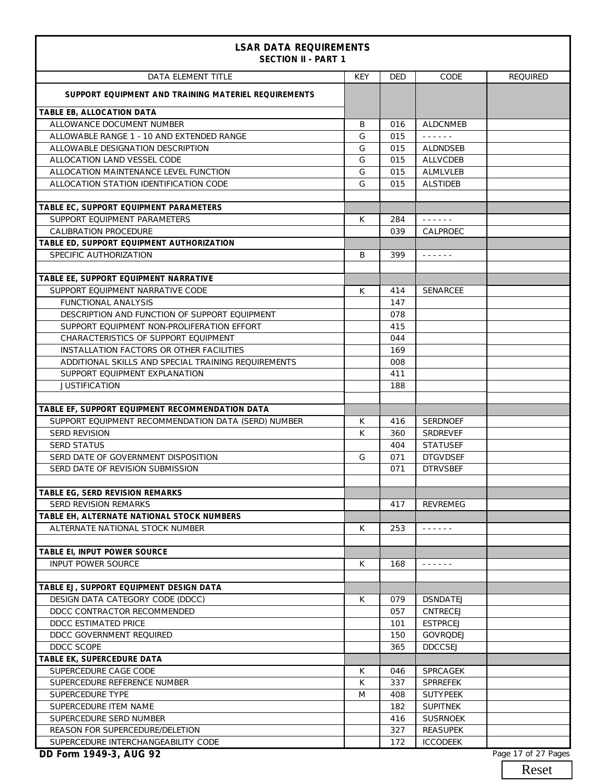| <b>LSAR DATA REQUIREMENTS</b><br><b>SECTION II - PART 1</b> |            |            |                                                                                                                           |                 |
|-------------------------------------------------------------|------------|------------|---------------------------------------------------------------------------------------------------------------------------|-----------------|
| <b>DATA ELEMENT TITLE</b>                                   | <b>KEY</b> | <b>DED</b> | CODE                                                                                                                      | <b>REQUIRED</b> |
| SUPPORT EQUIPMENT AND TRAINING MATERIEL REQUIREMENTS        |            |            |                                                                                                                           |                 |
| TABLE EB, ALLOCATION DATA                                   |            |            |                                                                                                                           |                 |
| ALLOWANCE DOCUMENT NUMBER                                   | B          | 016        | <b>ALDCNMEB</b>                                                                                                           |                 |
| ALLOWABLE RANGE 1 - 10 AND EXTENDED RANGE                   | G          | 015        | $\frac{1}{2}$                                                                                                             |                 |
| ALLOWABLE DESIGNATION DESCRIPTION                           | G          | 015        | <b>ALDNDSEB</b>                                                                                                           |                 |
| ALLOCATION LAND VESSEL CODE                                 | G          | 015        | <b>ALLVCDEB</b>                                                                                                           |                 |
| ALLOCATION MAINTENANCE LEVEL FUNCTION                       | G          | 015        | <b>ALMLVLEB</b>                                                                                                           |                 |
| ALLOCATION STATION IDENTIFICATION CODE                      | G          | 015        | <b>ALSTIDEB</b>                                                                                                           |                 |
| TABLE EC, SUPPORT EQUIPMENT PARAMETERS                      |            |            |                                                                                                                           |                 |
| SUPPORT EQUIPMENT PARAMETERS                                | K          | 284        | $\omega$ is a set of $\omega$                                                                                             |                 |
| <b>CALIBRATION PROCEDURE</b>                                |            | 039        | CALPROEC                                                                                                                  |                 |
| TABLE ED, SUPPORT EQUIPMENT AUTHORIZATION                   |            |            |                                                                                                                           |                 |
| SPECIFIC AUTHORIZATION                                      | B          | 399        | $\omega$ , $\omega$ , $\omega$ , $\omega$                                                                                 |                 |
|                                                             |            |            |                                                                                                                           |                 |
| TABLE EE, SUPPORT EQUIPMENT NARRATIVE                       |            |            |                                                                                                                           |                 |
| SUPPORT EOUIPMENT NARRATIVE CODE                            | K          | 414        | <b>SENARCEE</b>                                                                                                           |                 |
| <b>FUNCTIONAL ANALYSIS</b>                                  |            | 147        |                                                                                                                           |                 |
| DESCRIPTION AND FUNCTION OF SUPPORT EQUIPMENT               |            | 078        |                                                                                                                           |                 |
| SUPPORT EQUIPMENT NON-PROLIFERATION EFFORT                  |            | 415        |                                                                                                                           |                 |
| CHARACTERISTICS OF SUPPORT EQUIPMENT                        |            | 044        |                                                                                                                           |                 |
| INSTALLATION FACTORS OR OTHER FACILITIES                    |            | 169        |                                                                                                                           |                 |
| ADDITIONAL SKILLS AND SPECIAL TRAINING REQUIREMENTS         |            | 008        |                                                                                                                           |                 |
| SUPPORT EQUIPMENT EXPLANATION                               |            | 411        |                                                                                                                           |                 |
| <b>JUSTIFICATION</b>                                        |            | 188        |                                                                                                                           |                 |
|                                                             |            |            |                                                                                                                           |                 |
| TABLE EF, SUPPORT EQUIPMENT RECOMMENDATION DATA             |            |            |                                                                                                                           |                 |
| SUPPORT EQUIPMENT RECOMMENDATION DATA (SERD) NUMBER         | К          | 416        | <b>SERDNOEF</b>                                                                                                           |                 |
| <b>SERD REVISION</b>                                        | K          | 360        | <b>SRDREVEF</b>                                                                                                           |                 |
| <b>SERD STATUS</b>                                          |            | 404        | <b>STATUSEF</b>                                                                                                           |                 |
| SERD DATE OF GOVERNMENT DISPOSITION                         | G          | 071        | <b>DTGVDSEF</b>                                                                                                           |                 |
| SERD DATE OF REVISION SUBMISSION                            |            | 071        | <b>DTRVSBEF</b>                                                                                                           |                 |
|                                                             |            |            |                                                                                                                           |                 |
| TABLE EG, SERD REVISION REMARKS                             |            |            |                                                                                                                           |                 |
| <b>SERD REVISION REMARKS</b>                                |            | 417        | <b>REVREMEG</b>                                                                                                           |                 |
| TABLE EH, ALTERNATE NATIONAL STOCK NUMBERS                  |            |            |                                                                                                                           |                 |
| ALTERNATE NATIONAL STOCK NUMBER                             | K          | 253        | $\begin{array}{cccccccccccccc} \bullet & \bullet & \bullet & \bullet & \bullet & \bullet & \bullet & \bullet \end{array}$ |                 |
|                                                             |            |            |                                                                                                                           |                 |
| TABLE EI, INPUT POWER SOURCE                                |            |            |                                                                                                                           |                 |
| <b>INPUT POWER SOURCE</b>                                   | К          | 168        | $\omega$ , $\omega$ , $\omega$ , $\omega$ , $\omega$                                                                      |                 |
| TABLE EJ, SUPPORT EQUIPMENT DESIGN DATA                     |            |            |                                                                                                                           |                 |
| DESIGN DATA CATEGORY CODE (DDCC)                            | К          |            | <b>DSNDATEJ</b>                                                                                                           |                 |
| DDCC CONTRACTOR RECOMMENDED                                 |            | 079<br>057 | CNTRECEJ                                                                                                                  |                 |
| DDCC ESTIMATED PRICE                                        |            |            | <b>ESTPRCEJ</b>                                                                                                           |                 |
| DDCC GOVERNMENT REQUIRED                                    |            | 101        | <b>GOVRODEJ</b>                                                                                                           |                 |
| DDCC SCOPE                                                  |            | 150<br>365 | <b>DDCCSEJ</b>                                                                                                            |                 |
| TABLE EK, SUPERCEDURE DATA                                  |            |            |                                                                                                                           |                 |
| SUPERCEDURE CAGE CODE                                       | К          | 046        | SPRCAGEK                                                                                                                  |                 |
| SUPERCEDURE REFERENCE NUMBER                                | К          | 337        | <b>SPRREFEK</b>                                                                                                           |                 |
| SUPERCEDURE TYPE                                            | M          | 408        | <b>SUTYPEEK</b>                                                                                                           |                 |
| SUPERCEDURE ITEM NAME                                       |            | 182        | <b>SUPITNEK</b>                                                                                                           |                 |
| SUPERCEDURE SERD NUMBER                                     |            | 416        | <b>SUSRNOEK</b>                                                                                                           |                 |
| REASON FOR SUPERCEDURE/DELETION                             |            | 327        | <b>REASUPEK</b>                                                                                                           |                 |
| SUPERCEDURE INTERCHANGEABILITY CODE                         |            | 172        | <b>ICCODEEK</b>                                                                                                           |                 |
|                                                             |            |            |                                                                                                                           |                 |

**DD Form 1949-3, AUG 92** Page 17 of 27 Pages

Reset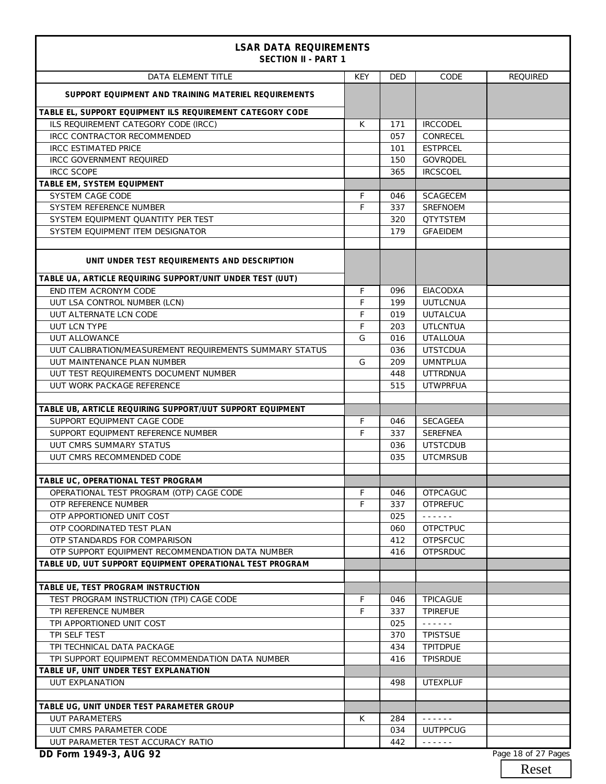| <b>LSAR DATA REQUIREMENTS</b><br><b>SECTION II - PART 1</b> |            |            |                                                                                     |                     |
|-------------------------------------------------------------|------------|------------|-------------------------------------------------------------------------------------|---------------------|
| <b>DATA ELEMENT TITLE</b>                                   | <b>KEY</b> | <b>DED</b> | CODE                                                                                | <b>REQUIRED</b>     |
| SUPPORT EQUIPMENT AND TRAINING MATERIEL REQUIREMENTS        |            |            |                                                                                     |                     |
| TABLE EL, SUPPORT EQUIPMENT ILS REQUIREMENT CATEGORY CODE   |            |            |                                                                                     |                     |
| ILS REQUIREMENT CATEGORY CODE (IRCC)                        | К          | 171        | <b>IRCCODEL</b>                                                                     |                     |
| <b>IRCC CONTRACTOR RECOMMENDED</b>                          |            | 057        | CONRECEL                                                                            |                     |
| <b>IRCC ESTIMATED PRICE</b>                                 |            | 101        | <b>ESTPRCEL</b>                                                                     |                     |
| <b>IRCC GOVERNMENT REQUIRED</b>                             |            | 150        | GOVRODEL                                                                            |                     |
| <b>IRCC SCOPE</b>                                           |            | 365        | <b>IRCSCOEL</b>                                                                     |                     |
| TABLE EM, SYSTEM EQUIPMENT                                  |            |            |                                                                                     |                     |
| SYSTEM CAGE CODE                                            | F          | 046        | <b>SCAGECEM</b>                                                                     |                     |
| SYSTEM REFERENCE NUMBER                                     | F          | 337        | <b>SREFNOEM</b>                                                                     |                     |
| SYSTEM EQUIPMENT QUANTITY PER TEST                          |            | 320        | <b>QTYTSTEM</b>                                                                     |                     |
| SYSTEM EQUIPMENT ITEM DESIGNATOR                            |            | 179        | <b>GFAEIDEM</b>                                                                     |                     |
| UNIT UNDER TEST REQUIREMENTS AND DESCRIPTION                |            |            |                                                                                     |                     |
| TABLE UA, ARTICLE REQUIRING SUPPORT/UNIT UNDER TEST (UUT)   |            |            |                                                                                     |                     |
| END ITEM ACRONYM CODE                                       | F          | 096        | EIACODXA                                                                            |                     |
| UUT LSA CONTROL NUMBER (LCN)                                | F          | 199        | <b>UUTLCNUA</b>                                                                     |                     |
| UUT ALTERNATE LCN CODE                                      | F          | 019        | <b>UUTALCUA</b>                                                                     |                     |
| <b>UUT LCN TYPE</b>                                         | F          | 203        | <b>UTLCNTUA</b>                                                                     |                     |
| <b>UUT ALLOWANCE</b>                                        | G          | 016        | <b>UTALLOUA</b>                                                                     |                     |
| UUT CALIBRATION/MEASUREMENT REQUIREMENTS SUMMARY STATUS     |            | 036        | <b>UTSTCDUA</b>                                                                     |                     |
| UUT MAINTENANCE PLAN NUMBER                                 | G          | 209        | <b>UMNTPLUA</b>                                                                     |                     |
| UUT TEST REQUIREMENTS DOCUMENT NUMBER                       |            | 448        | <b>UTTRDNUA</b>                                                                     |                     |
| UUT WORK PACKAGE REFERENCE                                  |            | 515        | <b>UTWPRFUA</b>                                                                     |                     |
|                                                             |            |            |                                                                                     |                     |
| TABLE UB, ARTICLE REQUIRING SUPPORT/UUT SUPPORT EQUIPMENT   |            |            |                                                                                     |                     |
| SUPPORT EQUIPMENT CAGE CODE                                 | F          | 046        | <b>SECAGEEA</b>                                                                     |                     |
| SUPPORT EQUIPMENT REFERENCE NUMBER                          | F          | 337        | <b>SEREFNEA</b>                                                                     |                     |
| UUT CMRS SUMMARY STATUS                                     |            | 036        | <b>UTSTCDUB</b>                                                                     |                     |
| UUT CMRS RECOMMENDED CODE                                   |            | 035        | <b>UTCMRSUB</b>                                                                     |                     |
|                                                             |            |            |                                                                                     |                     |
| TABLE UC, OPERATIONAL TEST PROGRAM                          |            |            |                                                                                     |                     |
| OPERATIONAL TEST PROGRAM (OTP) CAGE CODE                    | F          | 046        | <b>OTPCAGUC</b>                                                                     |                     |
| OTP REFERENCE NUMBER                                        | F          | 337        | <b>OTPREFUC</b>                                                                     |                     |
| OTP APPORTIONED UNIT COST                                   |            | 025        | د د د د د د                                                                         |                     |
| OTP COORDINATED TEST PLAN                                   |            | 060        | <b>OTPCTPUC</b>                                                                     |                     |
|                                                             |            |            |                                                                                     |                     |
| OTP STANDARDS FOR COMPARISON                                |            | 412        | <b>OTPSFCUC</b>                                                                     |                     |
| OTP SUPPORT EQUIPMENT RECOMMENDATION DATA NUMBER            |            | 416        | <b>OTPSRDUC</b>                                                                     |                     |
| TABLE UD, UUT SUPPORT EQUIPMENT OPERATIONAL TEST PROGRAM    |            |            |                                                                                     |                     |
| TABLE UE, TEST PROGRAM INSTRUCTION                          |            |            |                                                                                     |                     |
| TEST PROGRAM INSTRUCTION (TPI) CAGE CODE                    | F          | 046        | <b>TPICAGUE</b>                                                                     |                     |
| TPI REFERENCE NUMBER                                        | F          | 337        | <b>TPIREFUE</b>                                                                     |                     |
| TPI APPORTIONED UNIT COST                                   |            | 025        | د د د د د د                                                                         |                     |
| TPI SELF TEST                                               |            | 370        | <b>TPISTSUE</b>                                                                     |                     |
| TPI TECHNICAL DATA PACKAGE                                  |            | 434        | <b>TPITDPUE</b>                                                                     |                     |
| TPI SUPPORT EQUIPMENT RECOMMENDATION DATA NUMBER            |            | 416        | <b>TPISRDUE</b>                                                                     |                     |
| TABLE UF, UNIT UNDER TEST EXPLANATION                       |            |            |                                                                                     |                     |
| <b>UUT EXPLANATION</b>                                      |            | 498        | <b>UTEXPLUF</b>                                                                     |                     |
|                                                             |            |            |                                                                                     |                     |
| TABLE UG, UNIT UNDER TEST PARAMETER GROUP                   |            |            |                                                                                     |                     |
| <b>UUT PARAMETERS</b>                                       | К          | 284        | $\omega = \omega \left( \omega \right) \left( \omega \right) \left( \omega \right)$ |                     |
| UUT CMRS PARAMETER CODE                                     |            | 034        | <b>UUTPPCUG</b>                                                                     |                     |
| UUT PARAMETER TEST ACCURACY RATIO                           |            | 442        | $\omega$ is a second or                                                             |                     |
| DD Form 1949-3, AUG 92                                      |            |            |                                                                                     | Page 18 of 27 Pages |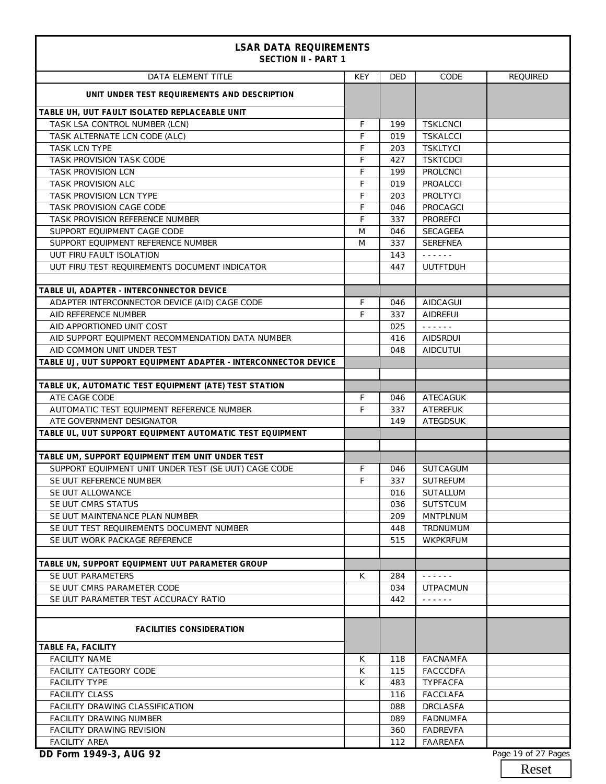| <b>LSAR DATA REQUIREMENTS</b><br><b>SECTION II - PART 1</b>     |            |            |                                                                                                                                     |                 |  |  |
|-----------------------------------------------------------------|------------|------------|-------------------------------------------------------------------------------------------------------------------------------------|-----------------|--|--|
| <b>DATA ELEMENT TITLE</b>                                       | <b>KEY</b> | <b>DED</b> | CODE                                                                                                                                | <b>REQUIRED</b> |  |  |
| UNIT UNDER TEST REQUIREMENTS AND DESCRIPTION                    |            |            |                                                                                                                                     |                 |  |  |
| TABLE UH, UUT FAULT ISOLATED REPLACEABLE UNIT                   |            |            |                                                                                                                                     |                 |  |  |
| TASK LSA CONTROL NUMBER (LCN)                                   | F          | 199        | <b>TSKLCNCI</b>                                                                                                                     |                 |  |  |
| TASK ALTERNATE LCN CODE (ALC)                                   | F          | 019        | <b>TSKALCCI</b>                                                                                                                     |                 |  |  |
| <b>TASK LCN TYPE</b>                                            | F          | 203        | <b>TSKLTYCI</b>                                                                                                                     |                 |  |  |
| TASK PROVISION TASK CODE                                        | F          | 427        | <b>TSKTCDCI</b>                                                                                                                     |                 |  |  |
| TASK PROVISION LCN                                              | F          | 199        | <b>PROLCNCI</b>                                                                                                                     |                 |  |  |
| <b>TASK PROVISION ALC</b>                                       | F          | 019        | <b>PROALCCI</b>                                                                                                                     |                 |  |  |
| TASK PROVISION LCN TYPE                                         | F          | 203        | PROLTYCI                                                                                                                            |                 |  |  |
| TASK PROVISION CAGE CODE                                        | F          | 046        | <b>PROCAGCI</b>                                                                                                                     |                 |  |  |
| TASK PROVISION REFERENCE NUMBER                                 | F          | 337        | <b>PROREFCI</b>                                                                                                                     |                 |  |  |
| SUPPORT EQUIPMENT CAGE CODE                                     | M          | 046        | <b>SECAGEEA</b>                                                                                                                     |                 |  |  |
| SUPPORT EQUIPMENT REFERENCE NUMBER                              | M          | 337        | <b>SEREFNEA</b>                                                                                                                     |                 |  |  |
| UUT FIRU FAULT ISOLATION                                        |            | 143        | $\omega$ , $\omega$ , $\omega$                                                                                                      |                 |  |  |
| UUT FIRU TEST REQUIREMENTS DOCUMENT INDICATOR                   |            | 447        | <b>UUTFTDUH</b>                                                                                                                     |                 |  |  |
|                                                                 |            |            |                                                                                                                                     |                 |  |  |
| TABLE UI, ADAPTER - INTERCONNECTOR DEVICE                       |            |            |                                                                                                                                     |                 |  |  |
| ADAPTER INTERCONNECTOR DEVICE (AID) CAGE CODE                   | F          | 046        | AIDCAGUI                                                                                                                            |                 |  |  |
| AID REFERENCE NUMBER                                            | F          | 337        | <b>AIDREFUI</b>                                                                                                                     |                 |  |  |
| AID APPORTIONED UNIT COST                                       |            | 025        | $\omega$ is a second set of $\omega$                                                                                                |                 |  |  |
| AID SUPPORT EQUIPMENT RECOMMENDATION DATA NUMBER                |            | 416        | <b>AIDSRDUI</b>                                                                                                                     |                 |  |  |
| AID COMMON UNIT UNDER TEST                                      |            | 048        | <b>AIDCUTUI</b>                                                                                                                     |                 |  |  |
| TABLE UJ, UUT SUPPORT EQUIPMENT ADAPTER - INTERCONNECTOR DEVICE |            |            |                                                                                                                                     |                 |  |  |
| TABLE UK, AUTOMATIC TEST EQUIPMENT (ATE) TEST STATION           |            |            |                                                                                                                                     |                 |  |  |
| ATE CAGE CODE                                                   | F          | 046        | ATECAGUK                                                                                                                            |                 |  |  |
| AUTOMATIC TEST EQUIPMENT REFERENCE NUMBER                       | F          | 337        | <b>ATEREFUK</b>                                                                                                                     |                 |  |  |
| ATE GOVERNMENT DESIGNATOR                                       |            | 149        | <b>ATEGDSUK</b>                                                                                                                     |                 |  |  |
| TABLE UL, UUT SUPPORT EQUIPMENT AUTOMATIC TEST EQUIPMENT        |            |            |                                                                                                                                     |                 |  |  |
|                                                                 |            |            |                                                                                                                                     |                 |  |  |
| TABLE UM, SUPPORT EQUIPMENT ITEM UNIT UNDER TEST                |            |            |                                                                                                                                     |                 |  |  |
| SUPPORT EQUIPMENT UNIT UNDER TEST (SE UUT) CAGE CODE            | F          | 046        | <b>SUTCAGUM</b>                                                                                                                     |                 |  |  |
| SE UUT REFERENCE NUMBER                                         | F          | 337        | SUTREFUM                                                                                                                            |                 |  |  |
| SE UUT ALLOWANCE                                                |            | 016        | <b>SUTALLUM</b>                                                                                                                     |                 |  |  |
| SE UUT CMRS STATUS                                              |            | 036        | <b>SUTSTCUM</b>                                                                                                                     |                 |  |  |
| SE UUT MAINTENANCE PLAN NUMBER                                  |            | 209        | <b>MNTPLNUM</b>                                                                                                                     |                 |  |  |
| SE UUT TEST REQUIREMENTS DOCUMENT NUMBER                        |            | 448        | TRDNUMUM                                                                                                                            |                 |  |  |
| SE UUT WORK PACKAGE REFERENCE                                   |            | 515        | WKPKRFUM                                                                                                                            |                 |  |  |
|                                                                 |            |            |                                                                                                                                     |                 |  |  |
| TABLE UN, SUPPORT EQUIPMENT UUT PARAMETER GROUP                 |            |            |                                                                                                                                     |                 |  |  |
| SE UUT PARAMETERS                                               | К          | 284        | $\begin{array}{cccccccccccccc} \bullet & \bullet & \bullet & \bullet & \bullet & \bullet & \bullet & \bullet & \bullet \end{array}$ |                 |  |  |
| SE UUT CMRS PARAMETER CODE                                      |            | 034        | <b>UTPACMUN</b>                                                                                                                     |                 |  |  |
| SE UUT PARAMETER TEST ACCURACY RATIO                            |            | 442        | $\omega$ is a second set of $\omega$                                                                                                |                 |  |  |
| <b>FACILITIES CONSIDERATION</b>                                 |            |            |                                                                                                                                     |                 |  |  |
| TABLE FA, FACILITY                                              |            |            |                                                                                                                                     |                 |  |  |
| <b>FACILITY NAME</b>                                            | К          | 118        | <b>FACNAMFA</b>                                                                                                                     |                 |  |  |
| FACILITY CATEGORY CODE                                          | К          | 115        | <b>FACCCDFA</b>                                                                                                                     |                 |  |  |
| <b>FACILITY TYPE</b>                                            | К          | 483        | <b>TYPFACFA</b>                                                                                                                     |                 |  |  |
| <b>FACILITY CLASS</b>                                           |            | 116        | <b>FACCLAFA</b>                                                                                                                     |                 |  |  |
| FACILITY DRAWING CLASSIFICATION                                 |            | 088        | <b>DRCLASFA</b>                                                                                                                     |                 |  |  |
| <b>FACILITY DRAWING NUMBER</b>                                  |            | 089        | <b>FADNUMFA</b>                                                                                                                     |                 |  |  |
| <b>FACILITY DRAWING REVISION</b>                                |            | 360        | <b>FADREVFA</b>                                                                                                                     |                 |  |  |
| <b>FACILITY AREA</b>                                            |            | 112        | FAAREAFA                                                                                                                            |                 |  |  |
| DD Form 1949-3, AUG 92<br>Page 19 of 27 Pages                   |            |            |                                                                                                                                     |                 |  |  |

Reset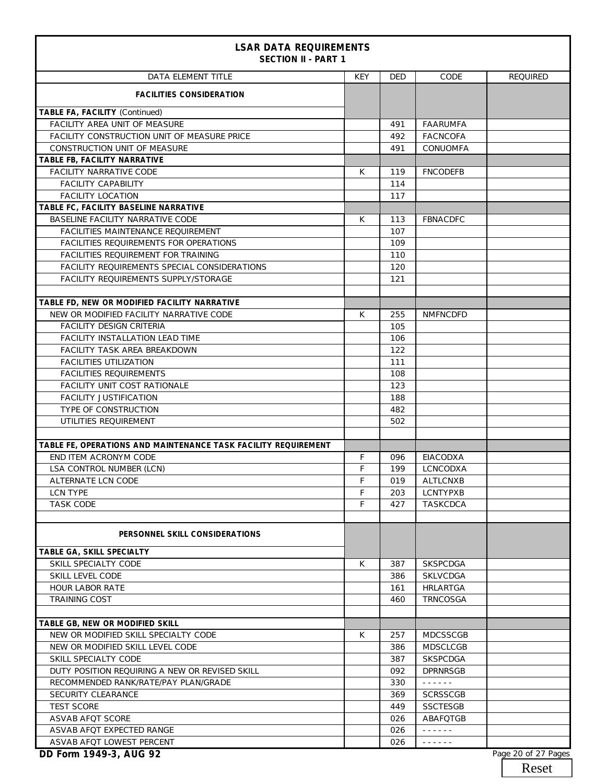| <b>LSAR DATA REQUIREMENTS</b><br><b>SECTION II - PART 1</b>                             |            |            |                                    |                     |
|-----------------------------------------------------------------------------------------|------------|------------|------------------------------------|---------------------|
| DATA ELEMENT TITLE                                                                      | <b>KEY</b> | DED        | CODE                               | <b>REQUIRED</b>     |
| <b>FACILITIES CONSIDERATION</b>                                                         |            |            |                                    |                     |
| TABLE FA, FACILITY (Continued)                                                          |            |            |                                    |                     |
| FACILITY AREA UNIT OF MEASURE                                                           |            | 491        | <b>FAARUMFA</b>                    |                     |
| <b>FACILITY CONSTRUCTION UNIT OF MEASURE PRICE</b>                                      |            | 492        | <b>FACNCOFA</b>                    |                     |
| CONSTRUCTION UNIT OF MEASURE                                                            |            | 491        | CONUOMFA                           |                     |
| TABLE FB, FACILITY NARRATIVE                                                            |            |            |                                    |                     |
| <b>FACILITY NARRATIVE CODE</b>                                                          | К          | 119        | <b>FNCODEFB</b>                    |                     |
| <b>FACILITY CAPABILITY</b>                                                              |            | 114        |                                    |                     |
| <b>FACILITY LOCATION</b>                                                                |            | 117        |                                    |                     |
| TABLE FC, FACILITY BASELINE NARRATIVE                                                   |            |            |                                    |                     |
| BASELINE FACILITY NARRATIVE CODE                                                        | К          | 113        | <b>FBNACDFC</b>                    |                     |
| FACILITIES MAINTENANCE REQUIREMENT                                                      |            | 107        |                                    |                     |
| FACILITIES REQUIREMENTS FOR OPERATIONS                                                  |            | 109        |                                    |                     |
| <b>FACILITIES REQUIREMENT FOR TRAINING</b>                                              |            | 110        |                                    |                     |
| FACILITY REQUIREMENTS SPECIAL CONSIDERATIONS                                            |            | 120        |                                    |                     |
| FACILITY REQUIREMENTS SUPPLY/STORAGE                                                    |            | 121        |                                    |                     |
|                                                                                         |            |            |                                    |                     |
| TABLE FD, NEW OR MODIFIED FACILITY NARRATIVE<br>NEW OR MODIFIED FACILITY NARRATIVE CODE |            |            | <b>NMFNCDFD</b>                    |                     |
|                                                                                         | К          | 255        |                                    |                     |
| FACILITY DESIGN CRITERIA                                                                |            | 105        |                                    |                     |
| <b>FACILITY INSTALLATION LEAD TIME</b>                                                  |            | 106        |                                    |                     |
| FACILITY TASK AREA BREAKDOWN                                                            |            | 122        |                                    |                     |
| <b>FACILITIES UTILIZATION</b>                                                           |            | 111        |                                    |                     |
| <b>FACILITIES REQUIREMENTS</b>                                                          |            | 108        |                                    |                     |
| <b>FACILITY UNIT COST RATIONALE</b>                                                     |            | 123        |                                    |                     |
| <b>FACILITY JUSTIFICATION</b>                                                           |            | 188        |                                    |                     |
| TYPE OF CONSTRUCTION                                                                    |            | 482        |                                    |                     |
| UTILITIES REQUIREMENT                                                                   |            | 502        |                                    |                     |
| TABLE FE, OPERATIONS AND MAINTENANCE TASK FACILITY REQUIREMENT                          |            |            |                                    |                     |
| END ITEM ACRONYM CODE                                                                   | F          | 096        | EIACODXA                           |                     |
| LSA CONTROL NUMBER (LCN)                                                                | F          | 199        | <b>LCNCODXA</b>                    |                     |
| ALTERNATE LCN CODE                                                                      | F          | 019        | <b>ALTLCNXB</b>                    |                     |
| LCN TYPE                                                                                | F          | 203        | <b>LCNTYPXB</b>                    |                     |
| <b>TASK CODE</b>                                                                        | F          | 427        | <b>TASKCDCA</b>                    |                     |
|                                                                                         |            |            |                                    |                     |
| PERSONNEL SKILL CONSIDERATIONS                                                          |            |            |                                    |                     |
| TABLE GA, SKILL SPECIALTY<br>SKILL SPECIALTY CODE                                       |            |            |                                    |                     |
| SKILL LEVEL CODE                                                                        | К          | 387<br>386 | <b>SKSPCDGA</b><br><b>SKLVCDGA</b> |                     |
|                                                                                         |            |            |                                    |                     |
| <b>HOUR LABOR RATE</b><br><b>TRAINING COST</b>                                          |            | 161        | <b>HRLARTGA</b>                    |                     |
|                                                                                         |            | 460        | <b>TRNCOSGA</b>                    |                     |
| TABLE GB, NEW OR MODIFIED SKILL                                                         |            |            |                                    |                     |
| NEW OR MODIFIED SKILL SPECIALTY CODE                                                    | К          | 257        | <b>MDCSSCGB</b>                    |                     |
| NEW OR MODIFIED SKILL LEVEL CODE                                                        |            | 386        | <b>MDSCLCGB</b>                    |                     |
| SKILL SPECIALTY CODE                                                                    |            | 387        | <b>SKSPCDGA</b>                    |                     |
| DUTY POSITION REQUIRING A NEW OR REVISED SKILL                                          |            | 092        | <b>DPRNRSGB</b>                    |                     |
| RECOMMENDED RANK/RATE/PAY PLAN/GRADE                                                    |            | 330        | د د د د د د                        |                     |
| SECURITY CLEARANCE                                                                      |            | 369        | <b>SCRSSCGB</b>                    |                     |
| <b>TEST SCORE</b>                                                                       |            | 449        | <b>SSCTESGB</b>                    |                     |
| ASVAB AFQT SCORE                                                                        |            | 026        | ABAFQTGB                           |                     |
| ASVAB AFQT EXPECTED RANGE                                                               |            | 026        | د د د د د د                        |                     |
| ASVAB AFQT LOWEST PERCENT                                                               |            | 026        | بالمستبط بالمنابذ                  |                     |
| DD Form 1949-3, AUG 92                                                                  |            |            |                                    | Page 20 of 27 Pages |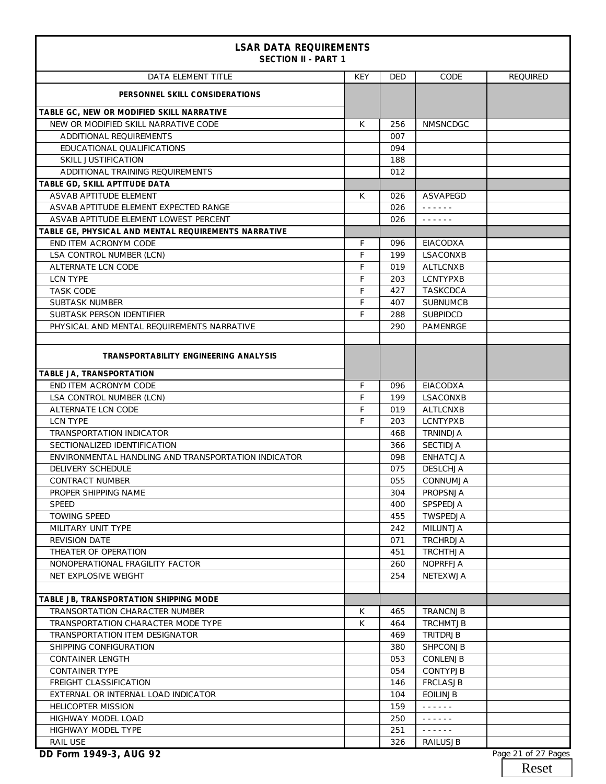| <b>LSAR DATA REQUIREMENTS</b><br><b>SECTION II - PART 1</b> |            |            |                                                                                                                        |                 |
|-------------------------------------------------------------|------------|------------|------------------------------------------------------------------------------------------------------------------------|-----------------|
| <b>DATA ELEMENT TITLE</b>                                   | <b>KEY</b> | <b>DED</b> | CODE                                                                                                                   | <b>REQUIRED</b> |
| PERSONNEL SKILL CONSIDERATIONS                              |            |            |                                                                                                                        |                 |
| TABLE GC, NEW OR MODIFIED SKILL NARRATIVE                   |            |            |                                                                                                                        |                 |
| NEW OR MODIFIED SKILL NARRATIVE CODE                        | K          | 256        | <b>NMSNCDGC</b>                                                                                                        |                 |
| ADDITIONAL REQUIREMENTS                                     |            | 007        |                                                                                                                        |                 |
| EDUCATIONAL QUALIFICATIONS                                  |            | 094        |                                                                                                                        |                 |
| SKILL JUSTIFICATION                                         |            | 188        |                                                                                                                        |                 |
| ADDITIONAL TRAINING REQUIREMENTS                            |            | 012        |                                                                                                                        |                 |
| TABLE GD, SKILL APTITUDE DATA                               |            |            |                                                                                                                        |                 |
| ASVAB APTITUDE ELEMENT                                      | К          | 026        | <b>ASVAPEGD</b>                                                                                                        |                 |
| ASVAB APTITUDE ELEMENT EXPECTED RANGE                       |            | 026        | $\omega$ is a set of $\omega$                                                                                          |                 |
| ASVAB APTITUDE ELEMENT LOWEST PERCENT                       |            | 026        | $\omega$ is a second set of $\omega$                                                                                   |                 |
| TABLE GE, PHYSICAL AND MENTAL REQUIREMENTS NARRATIVE        |            |            |                                                                                                                        |                 |
| END ITEM ACRONYM CODE                                       | F          | 096        | EIACODXA                                                                                                               |                 |
| LSA CONTROL NUMBER (LCN)                                    | F          | 199        | LSACONXB                                                                                                               |                 |
| ALTERNATE LCN CODE                                          | F          | 019        | <b>ALTLCNXB</b>                                                                                                        |                 |
| <b>LCN TYPE</b>                                             | F          | 203        | <b>LCNTYPXB</b>                                                                                                        |                 |
| <b>TASK CODE</b>                                            | F          | 427        | <b>TASKCDCA</b>                                                                                                        |                 |
| <b>SUBTASK NUMBER</b>                                       | F          | 407        | <b>SUBNUMCB</b>                                                                                                        |                 |
| SUBTASK PERSON IDENTIFIER                                   | F          | 288        | <b>SUBPIDCD</b>                                                                                                        |                 |
| PHYSICAL AND MENTAL REQUIREMENTS NARRATIVE                  |            | 290        | <b>PAMENRGE</b>                                                                                                        |                 |
|                                                             |            |            |                                                                                                                        |                 |
| TRANSPORTABILITY ENGINEERING ANALYSIS                       |            |            |                                                                                                                        |                 |
| TABLE JA, TRANSPORTATION                                    |            |            |                                                                                                                        |                 |
| END ITEM ACRONYM CODE                                       | F          | 096        | EIACODXA                                                                                                               |                 |
| LSA CONTROL NUMBER (LCN)                                    | F          | 199        | LSACONXB                                                                                                               |                 |
| ALTERNATE LCN CODE                                          | F          | 019        | <b>ALTLCNXB</b>                                                                                                        |                 |
| <b>LCN TYPE</b>                                             | F          | 203        | <b>LCNTYPXB</b>                                                                                                        |                 |
| TRANSPORTATION INDICATOR                                    |            | 468        | TRNINDJA                                                                                                               |                 |
| SECTIONALIZED IDENTIFICATION                                |            | 366        | <b>SECTIDJA</b>                                                                                                        |                 |
| ENVIRONMENTAL HANDLING AND TRANSPORTATION INDICATOR         |            | 098        | <b>ENHATCJA</b>                                                                                                        |                 |
| <b>DELIVERY SCHEDULE</b>                                    |            | 075        | <b>DESLCHJA</b>                                                                                                        |                 |
| CONTRACT NUMBER                                             |            | 055        | CONNUMJA                                                                                                               |                 |
| PROPER SHIPPING NAME                                        |            | 304        | PROPSNJA                                                                                                               |                 |
| <b>SPEED</b>                                                |            | 400        | SPSPEDJA                                                                                                               |                 |
| <b>TOWING SPEED</b>                                         |            | 455        | TWSPEDJA                                                                                                               |                 |
| MILITARY UNIT TYPE                                          |            | 242        | MILUNTJA                                                                                                               |                 |
| <b>REVISION DATE</b>                                        |            | 071        | TRCHRDJA                                                                                                               |                 |
| THEATER OF OPERATION                                        |            | 451        | <b>TRCHTHJA</b>                                                                                                        |                 |
| NONOPERATIONAL FRAGILITY FACTOR                             |            | 260        | <b>NOPRFFJA</b>                                                                                                        |                 |
| NET EXPLOSIVE WEIGHT                                        |            | 254        | <b>NETEXWJA</b>                                                                                                        |                 |
|                                                             |            |            |                                                                                                                        |                 |
| TABLE JB, TRANSPORTATION SHIPPING MODE                      |            |            |                                                                                                                        |                 |
| <b>TRANSORTATION CHARACTER NUMBER</b>                       | K          | 465        | <b>TRANCNJB</b>                                                                                                        |                 |
| TRANSPORTATION CHARACTER MODE TYPE                          | K          | 464        | <b>TRCHMTJB</b>                                                                                                        |                 |
| TRANSPORTATION ITEM DESIGNATOR                              |            | 469        | TRITDRJB                                                                                                               |                 |
| SHIPPING CONFIGURATION                                      |            | 380        | <b>SHPCONJB</b>                                                                                                        |                 |
| <b>CONTAINER LENGTH</b>                                     |            | 053        | CONLENJB                                                                                                               |                 |
| <b>CONTAINER TYPE</b>                                       |            | 054        | <b>CONTYPJB</b>                                                                                                        |                 |
| FREIGHT CLASSIFICATION                                      |            | 146        | <b>FRCLASJB</b>                                                                                                        |                 |
| EXTERNAL OR INTERNAL LOAD INDICATOR                         |            | 104        | <b>EOILINJB</b>                                                                                                        |                 |
| <b>HELICOPTER MISSION</b>                                   |            | 159        | $\omega$ is a set of $\omega$                                                                                          |                 |
| HIGHWAY MODEL LOAD                                          |            | 250        | $\omega = \omega \left( \omega \right) \left( \omega \right) \left( \omega \right)$                                    |                 |
| HIGHWAY MODEL TYPE                                          |            | 251        | $\mathcal{L}^{\mathcal{A}}(\mathcal{A})=\mathcal{L}^{\mathcal{A}}(\mathcal{A})=\mathcal{L}^{\mathcal{A}}(\mathcal{A})$ |                 |
| RAIL USE                                                    |            | 326        | RAILUSJB                                                                                                               |                 |

**DD Form 1949-3, AUG 92** Page 21 of 27 Pages

Reset